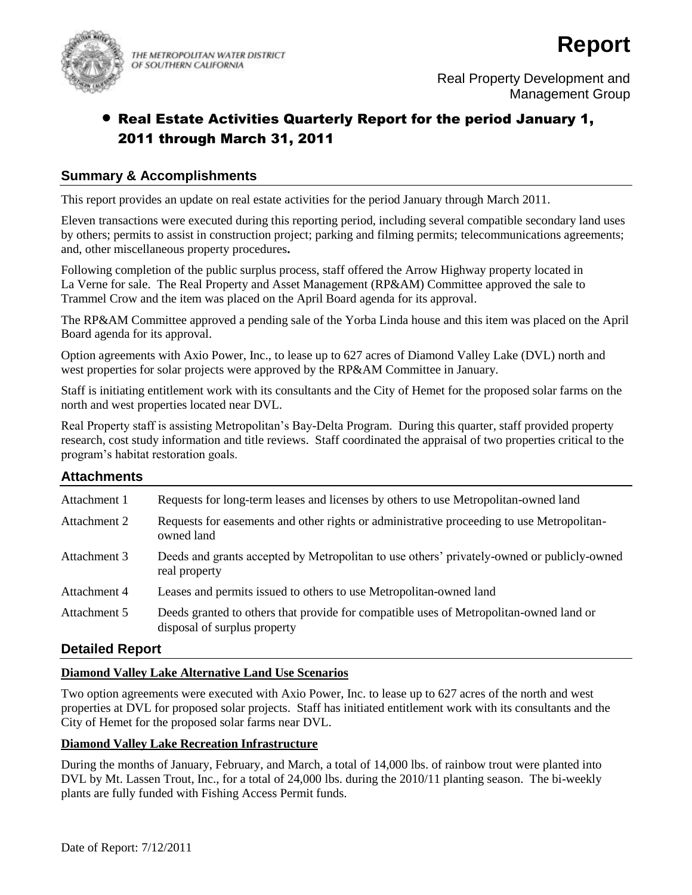

THE METROPOLITAN WATER DISTRICT OF SOUTHERN CALIFORNIA

# Real Estate Activities Quarterly Report for the period January 1, 2011 through March 31, 2011

# **Summary & Accomplishments**

This report provides an update on real estate activities for the period January through March 2011.

Eleven transactions were executed during this reporting period, including several compatible secondary land uses by others; permits to assist in construction project; parking and filming permits; telecommunications agreements; and, other miscellaneous property procedures**.**

Following completion of the public surplus process, staff offered the Arrow Highway property located in La Verne for sale. The Real Property and Asset Management (RP&AM) Committee approved the sale to Trammel Crow and the item was placed on the April Board agenda for its approval.

The RP&AM Committee approved a pending sale of the Yorba Linda house and this item was placed on the April Board agenda for its approval.

Option agreements with Axio Power, Inc., to lease up to 627 acres of Diamond Valley Lake (DVL) north and west properties for solar projects were approved by the RP&AM Committee in January.

Staff is initiating entitlement work with its consultants and the City of Hemet for the proposed solar farms on the north and west properties located near DVL.

Real Property staff is assisting Metropolitan's Bay-Delta Program. During this quarter, staff provided property research, cost study information and title reviews. Staff coordinated the appraisal of two properties critical to the program's habitat restoration goals.

# **Attachments**

| Requests for long-term leases and licenses by others to use Metropolitan-owned land                                    |
|------------------------------------------------------------------------------------------------------------------------|
| Requests for easements and other rights or administrative proceeding to use Metropolitan-<br>owned land                |
| Deeds and grants accepted by Metropolitan to use others' privately-owned or publicly-owned<br>real property            |
| Leases and permits issued to others to use Metropolitan-owned land                                                     |
| Deeds granted to others that provide for compatible uses of Metropolitan-owned land or<br>disposal of surplus property |
|                                                                                                                        |

# **Detailed Report**

# **Diamond Valley Lake Alternative Land Use Scenarios**

Two option agreements were executed with Axio Power, Inc. to lease up to 627 acres of the north and west properties at DVL for proposed solar projects. Staff has initiated entitlement work with its consultants and the City of Hemet for the proposed solar farms near DVL.

# **Diamond Valley Lake Recreation Infrastructure**

During the months of January, February, and March, a total of 14,000 lbs. of rainbow trout were planted into DVL by Mt. Lassen Trout, Inc., for a total of 24,000 lbs. during the 2010/11 planting season. The bi-weekly plants are fully funded with Fishing Access Permit funds.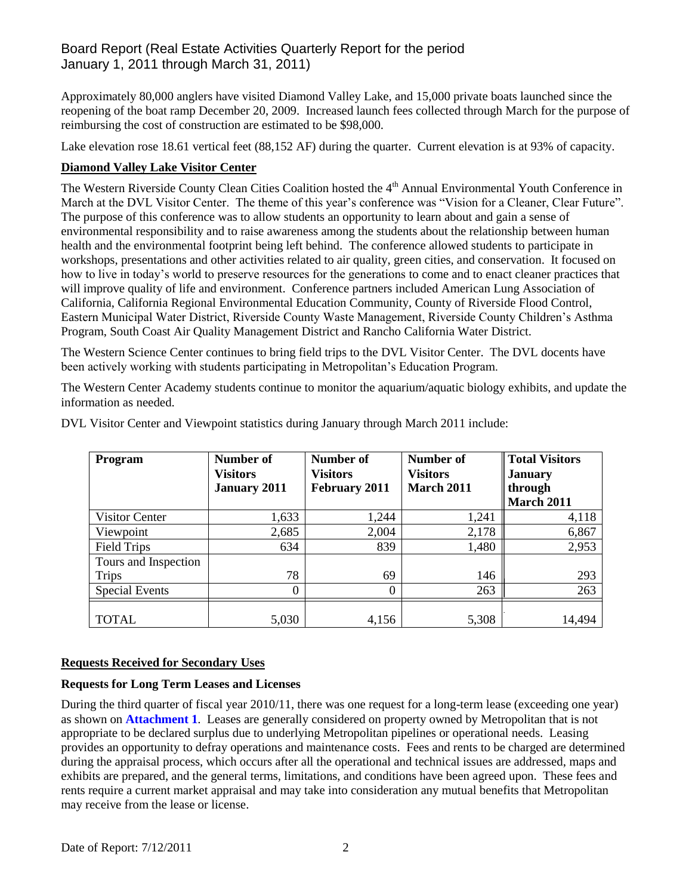# Board Report (Real Estate Activities Quarterly Report for the period January 1, 2011 through March 31, 2011)

Approximately 80,000 anglers have visited Diamond Valley Lake, and 15,000 private boats launched since the reopening of the boat ramp December 20, 2009. Increased launch fees collected through March for the purpose of reimbursing the cost of construction are estimated to be \$98,000.

Lake elevation rose 18.61 vertical feet (88,152 AF) during the quarter. Current elevation is at 93% of capacity.

### **Diamond Valley Lake Visitor Center**

The Western Riverside County Clean Cities Coalition hosted the 4<sup>th</sup> Annual Environmental Youth Conference in March at the DVL Visitor Center. The theme of this year's conference was "Vision for a Cleaner, Clear Future". The purpose of this conference was to allow students an opportunity to learn about and gain a sense of environmental responsibility and to raise awareness among the students about the relationship between human health and the environmental footprint being left behind. The conference allowed students to participate in workshops, presentations and other activities related to air quality, green cities, and conservation. It focused on how to live in today's world to preserve resources for the generations to come and to enact cleaner practices that will improve quality of life and environment. Conference partners included American Lung Association of California, California Regional Environmental Education Community, County of Riverside Flood Control, Eastern Municipal Water District, Riverside County Waste Management, Riverside County Children's Asthma Program, South Coast Air Quality Management District and Rancho California Water District.

The Western Science Center continues to bring field trips to the DVL Visitor Center. The DVL docents have been actively working with students participating in Metropolitan's Education Program.

The Western Center Academy students continue to monitor the aquarium/aquatic biology exhibits, and update the information as needed.

| Program               | Number of<br><b>Visitors</b><br><b>January 2011</b> | Number of<br>Visitors<br><b>February 2011</b> | Number of<br><b>Visitors</b><br><b>March 2011</b> | <b>Total Visitors</b><br><b>January</b><br>through<br><b>March 2011</b> |
|-----------------------|-----------------------------------------------------|-----------------------------------------------|---------------------------------------------------|-------------------------------------------------------------------------|
| Visitor Center        | 1,633                                               | 1,244                                         | 1,241                                             | 4,118                                                                   |
| Viewpoint             | 2,685                                               | 2,004                                         | 2,178                                             | 6,867                                                                   |
| Field Trips           | 634                                                 | 839                                           | 1,480                                             | 2,953                                                                   |
| Tours and Inspection  |                                                     |                                               |                                                   |                                                                         |
| <b>Trips</b>          | 78                                                  | 69                                            | 146                                               | 293                                                                     |
| <b>Special Events</b> | 0                                                   | 0                                             | 263                                               | 263                                                                     |
| <b>TOTAL</b>          | 5,030                                               | 4,156                                         | 5,308                                             | 14,494                                                                  |

DVL Visitor Center and Viewpoint statistics during January through March 2011 include:

### **Requests Received for Secondary Uses**

### **Requests for Long Term Leases and Licenses**

During the third quarter of fiscal year 2010/11, there was one request for a long-term lease (exceeding one year) as shown on **Attachment 1**. Leases are generally considered on property owned by Metropolitan that is not appropriate to be declared surplus due to underlying Metropolitan pipelines or operational needs. Leasing provides an opportunity to defray operations and maintenance costs. Fees and rents to be charged are determined during the appraisal process, which occurs after all the operational and technical issues are addressed, maps and exhibits are prepared, and the general terms, limitations, and conditions have been agreed upon. These fees and rents require a current market appraisal and may take into consideration any mutual benefits that Metropolitan may receive from the lease or license.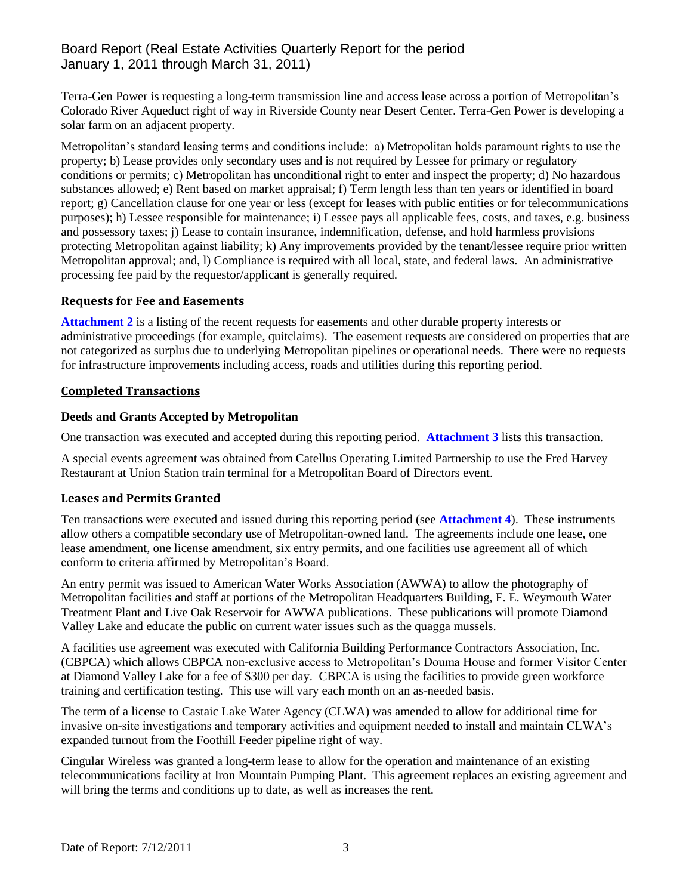# Board Report (Real Estate Activities Quarterly Report for the period January 1, 2011 through March 31, 2011)

Terra-Gen Power is requesting a long-term transmission line and access lease across a portion of Metropolitan's Colorado River Aqueduct right of way in Riverside County near Desert Center. Terra-Gen Power is developing a solar farm on an adjacent property.

Metropolitan's standard leasing terms and conditions include: a) Metropolitan holds paramount rights to use the property; b) Lease provides only secondary uses and is not required by Lessee for primary or regulatory conditions or permits; c) Metropolitan has unconditional right to enter and inspect the property; d) No hazardous substances allowed; e) Rent based on market appraisal; f) Term length less than ten years or identified in board report; g) Cancellation clause for one year or less (except for leases with public entities or for telecommunications purposes); h) Lessee responsible for maintenance; i) Lessee pays all applicable fees, costs, and taxes, e.g. business and possessory taxes; j) Lease to contain insurance, indemnification, defense, and hold harmless provisions protecting Metropolitan against liability; k) Any improvements provided by the tenant/lessee require prior written Metropolitan approval; and, l) Compliance is required with all local, state, and federal laws. An administrative processing fee paid by the requestor/applicant is generally required.

### **Requests for Fee and Easements**

**Attachment 2** is a listing of the recent requests for easements and other durable property interests or administrative proceedings (for example, quitclaims). The easement requests are considered on properties that are not categorized as surplus due to underlying Metropolitan pipelines or operational needs. There were no requests for infrastructure improvements including access, roads and utilities during this reporting period.

### **Completed Transactions**

### **Deeds and Grants Accepted by Metropolitan**

One transaction was executed and accepted during this reporting period. **Attachment 3** lists this transaction.

A special events agreement was obtained from Catellus Operating Limited Partnership to use the Fred Harvey Restaurant at Union Station train terminal for a Metropolitan Board of Directors event.

### **Leases and Permits Granted**

Ten transactions were executed and issued during this reporting period (see **Attachment 4**). These instruments allow others a compatible secondary use of Metropolitan-owned land. The agreements include one lease, one lease amendment, one license amendment, six entry permits, and one facilities use agreement all of which conform to criteria affirmed by Metropolitan's Board.

An entry permit was issued to American Water Works Association (AWWA) to allow the photography of Metropolitan facilities and staff at portions of the Metropolitan Headquarters Building, F. E. Weymouth Water Treatment Plant and Live Oak Reservoir for AWWA publications. These publications will promote Diamond Valley Lake and educate the public on current water issues such as the quagga mussels.

A facilities use agreement was executed with California Building Performance Contractors Association, Inc. (CBPCA) which allows CBPCA non-exclusive access to Metropolitan's Douma House and former Visitor Center at Diamond Valley Lake for a fee of \$300 per day. CBPCA is using the facilities to provide green workforce training and certification testing. This use will vary each month on an as-needed basis.

The term of a license to Castaic Lake Water Agency (CLWA) was amended to allow for additional time for invasive on-site investigations and temporary activities and equipment needed to install and maintain CLWA's expanded turnout from the Foothill Feeder pipeline right of way.

Cingular Wireless was granted a long-term lease to allow for the operation and maintenance of an existing telecommunications facility at Iron Mountain Pumping Plant. This agreement replaces an existing agreement and will bring the terms and conditions up to date, as well as increases the rent.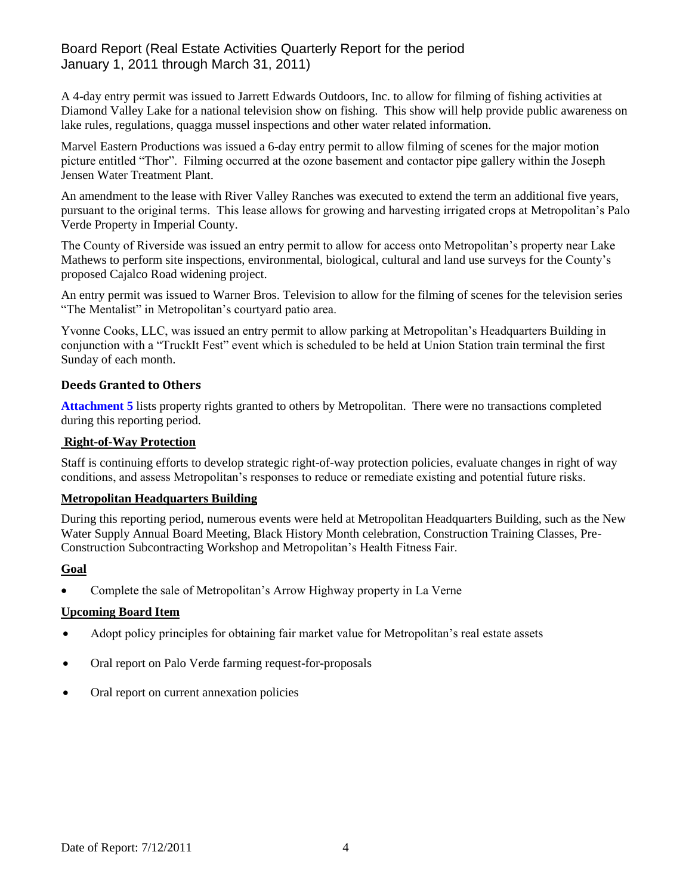# Board Report (Real Estate Activities Quarterly Report for the period January 1, 2011 through March 31, 2011)

A 4-day entry permit was issued to Jarrett Edwards Outdoors, Inc. to allow for filming of fishing activities at Diamond Valley Lake for a national television show on fishing. This show will help provide public awareness on lake rules, regulations, quagga mussel inspections and other water related information.

Marvel Eastern Productions was issued a 6-day entry permit to allow filming of scenes for the major motion picture entitled "Thor". Filming occurred at the ozone basement and contactor pipe gallery within the Joseph Jensen Water Treatment Plant.

An amendment to the lease with River Valley Ranches was executed to extend the term an additional five years, pursuant to the original terms. This lease allows for growing and harvesting irrigated crops at Metropolitan's Palo Verde Property in Imperial County.

The County of Riverside was issued an entry permit to allow for access onto Metropolitan's property near Lake Mathews to perform site inspections, environmental, biological, cultural and land use surveys for the County's proposed Cajalco Road widening project.

An entry permit was issued to Warner Bros. Television to allow for the filming of scenes for the television series "The Mentalist" in Metropolitan's courtyard patio area.

Yvonne Cooks, LLC, was issued an entry permit to allow parking at Metropolitan's Headquarters Building in conjunction with a "TruckIt Fest" event which is scheduled to be held at Union Station train terminal the first Sunday of each month.

# **Deeds Granted to Others**

**Attachment 5** lists property rights granted to others by Metropolitan. There were no transactions completed during this reporting period.

# **Right-of-Way Protection**

Staff is continuing efforts to develop strategic right-of-way protection policies, evaluate changes in right of way conditions, and assess Metropolitan's responses to reduce or remediate existing and potential future risks.

### **Metropolitan Headquarters Building**

During this reporting period, numerous events were held at Metropolitan Headquarters Building, such as the New Water Supply Annual Board Meeting, Black History Month celebration, Construction Training Classes, Pre-Construction Subcontracting Workshop and Metropolitan's Health Fitness Fair.

# **Goal**

Complete the sale of Metropolitan's Arrow Highway property in La Verne

# **Upcoming Board Item**

- Adopt policy principles for obtaining fair market value for Metropolitan's real estate assets
- Oral report on Palo Verde farming request-for-proposals
- Oral report on current annexation policies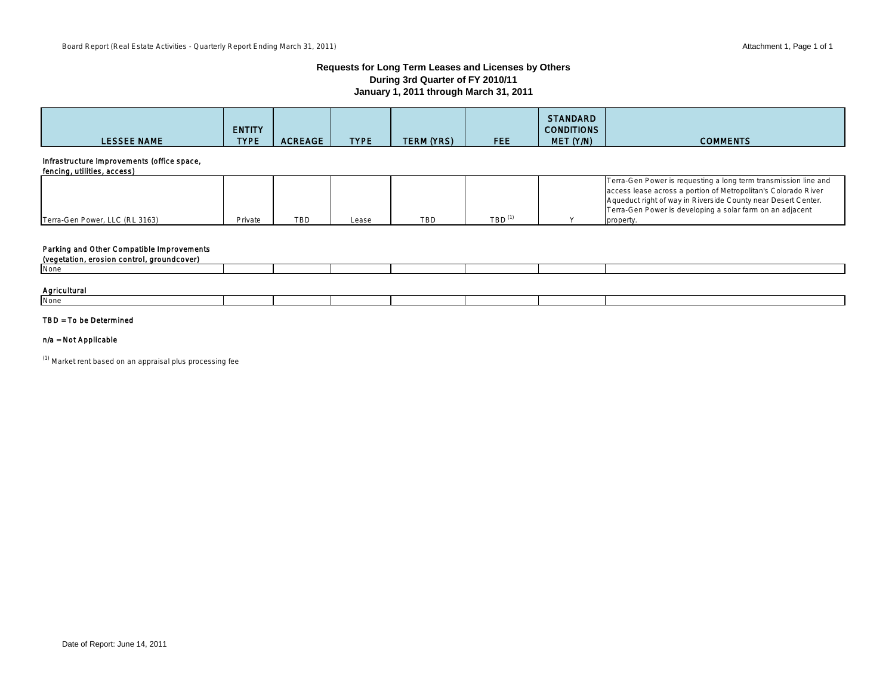#### **Requests for Long Term Leases and Licenses by Others During 3rd Quarter of FY 2010/11 January 1, 2011 through March 31, 2011**

| <b>LESSEE NAME</b>                                                        | <b>ENTITY</b><br><b>TYPE</b> | <b>ACREAGE</b> | <b>TYPE</b> | <b>TERM (YRS)</b> | <b>FEE</b>                        | STANDARD<br><b>CONDITIONS</b><br>MET (Y/N) | <b>COMMENTS</b>                                                                                                                                                                                                                                                              |
|---------------------------------------------------------------------------|------------------------------|----------------|-------------|-------------------|-----------------------------------|--------------------------------------------|------------------------------------------------------------------------------------------------------------------------------------------------------------------------------------------------------------------------------------------------------------------------------|
| Infrastructure Improvements (office space,<br>fencing, utilities, access) |                              |                |             |                   |                                   |                                            |                                                                                                                                                                                                                                                                              |
| Terra-Gen Power, LLC (RL 3163)                                            | Private                      | <b>TBD</b>     | Lease       | <b>TBD</b>        | $TBD$ <sup><math>(1)</math></sup> |                                            | Terra-Gen Power is requesting a long term transmission line and<br>access lease across a portion of Metropolitan's Colorado River<br>Aqueduct right of way in Riverside County near Desert Center.<br>Terra-Gen Power is developing a solar farm on an adjacent<br>property. |

### Parking and Other Compatible Improvements

| (vegetation, erosion control, groundcover) |  |  |  |  |  |  |  |  |  |
|--------------------------------------------|--|--|--|--|--|--|--|--|--|
| None                                       |  |  |  |  |  |  |  |  |  |
|                                            |  |  |  |  |  |  |  |  |  |
| Agricultural                               |  |  |  |  |  |  |  |  |  |
| None                                       |  |  |  |  |  |  |  |  |  |
|                                            |  |  |  |  |  |  |  |  |  |

### TBD = To be Determined

#### n/a = Not Applicable

 $(1)$  Market rent based on an appraisal plus processing fee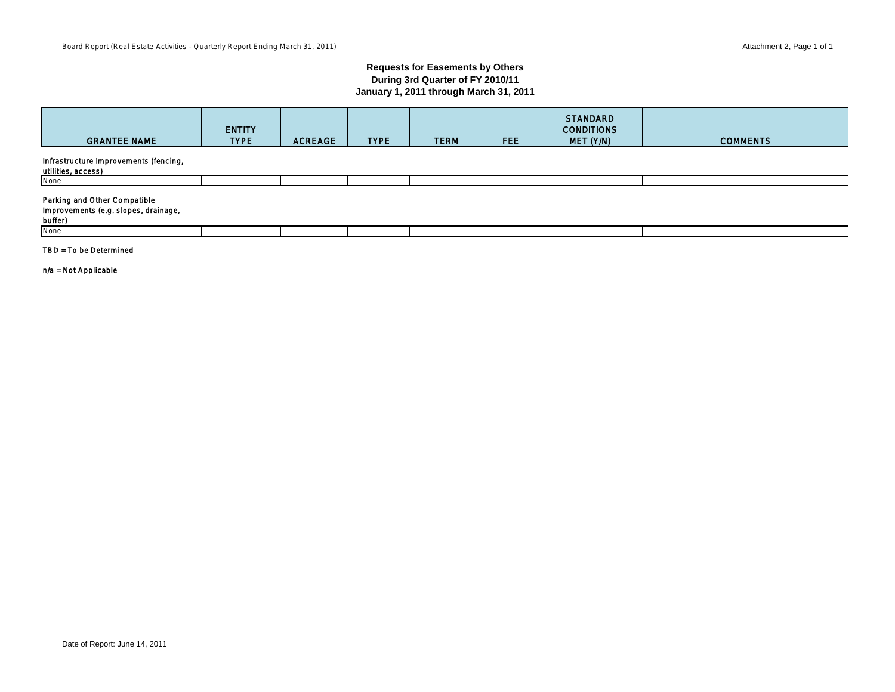#### **Requests for Easements by Others During 3rd Quarter of FY 2010/11 January 1, 2011 through March 31, 2011**

| <b>GRANTEE NAME</b>                                                             | <b>ENTITY</b><br><b>TYPE</b> | <b>ACREAGE</b> | <b>TYPE</b> | <b>TERM</b> | FEE. | <b>STANDARD</b><br><b>CONDITIONS</b><br>MET (Y/N) | <b>COMMENTS</b> |
|---------------------------------------------------------------------------------|------------------------------|----------------|-------------|-------------|------|---------------------------------------------------|-----------------|
| Infrastructure Improvements (fencing,<br>utilities, access)                     |                              |                |             |             |      |                                                   |                 |
| None                                                                            |                              |                |             |             |      |                                                   |                 |
| Parking and Other Compatible<br>Improvements (e.g. slopes, drainage,<br>buffer) |                              |                |             |             |      |                                                   |                 |
| None                                                                            |                              |                |             |             |      |                                                   |                 |

#### TBD = To be Determined

n/a = Not Applicable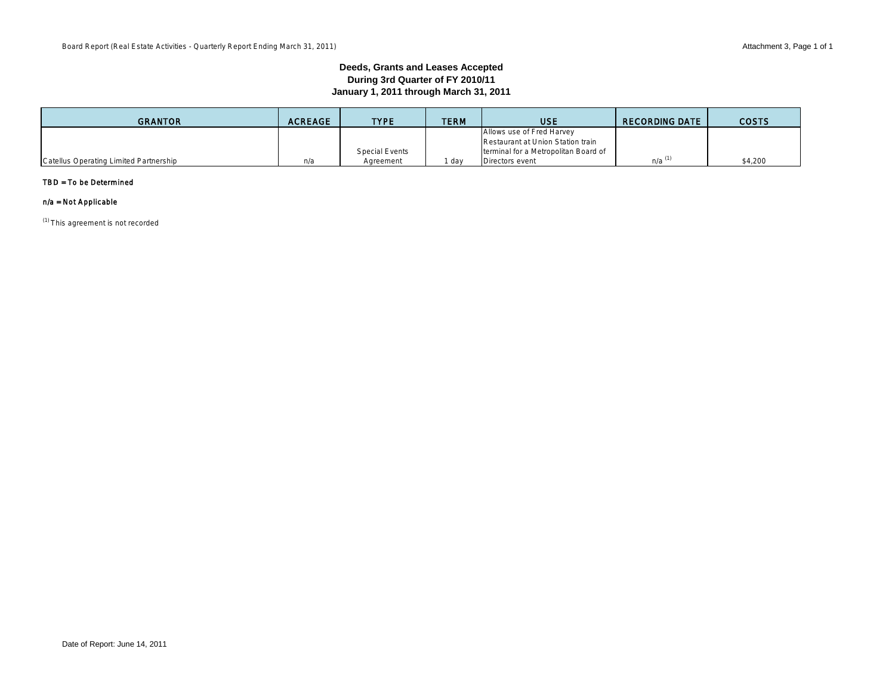#### **Deeds, Grants and Leases Accepted During 3rd Quarter of FY 2010/11 January 1, 2011 through March 31, 2011**

| <b>GRANTOR</b>                         | <b>ACREAGE</b> | <b>TYPE</b>    | <b>TERM</b> | USE                                  | <b>RECORDING DATE</b> | <b>COSTS</b> |
|----------------------------------------|----------------|----------------|-------------|--------------------------------------|-----------------------|--------------|
|                                        |                |                |             | Allows use of Fred Harvey            |                       |              |
|                                        |                |                |             | Restaurant at Union Station train    |                       |              |
|                                        |                | Special Events |             | terminal for a Metropolitan Board of |                       |              |
| Catellus Operating Limited Partnership | n/a            | Aareement      | dav         | Directors event                      | $n/a^{(1)}$           | \$4,200      |

#### TBD = To be Determined

### n/a = Not Applicable

(1) This agreement is not recorded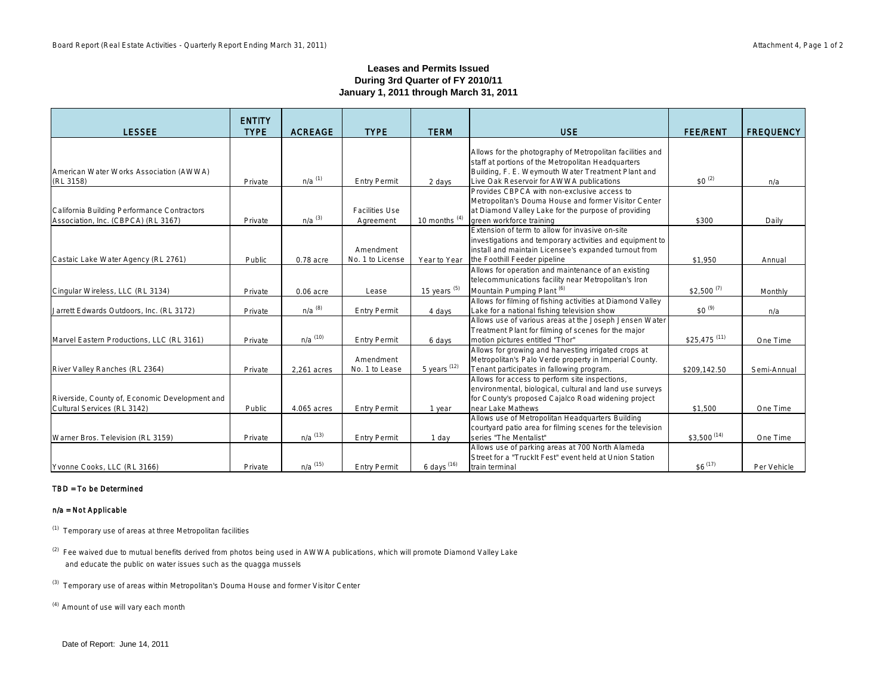#### **Leases and Permits Issued During 3rd Quarter of FY 2010/11 January 1, 2011 through March 31, 2011**

| <b>LESSEE</b>                                  | <b>ENTITY</b><br><b>TYPE</b> | <b>ACREAGE</b>       | <b>TYPE</b>           | <b>TERM</b>                | <b>USE</b>                                                                                                      | <b>FEE/RENT</b>           | <b>FREQUENCY</b> |
|------------------------------------------------|------------------------------|----------------------|-----------------------|----------------------------|-----------------------------------------------------------------------------------------------------------------|---------------------------|------------------|
|                                                |                              |                      |                       |                            |                                                                                                                 |                           |                  |
|                                                |                              |                      |                       |                            | Allows for the photography of Metropolitan facilities and                                                       |                           |                  |
|                                                |                              |                      |                       |                            | staff at portions of the Metropolitan Headquarters                                                              |                           |                  |
| American Water Works Association (AWWA)        |                              |                      |                       |                            | Building, F. E. Weymouth Water Treatment Plant and                                                              |                           |                  |
| (RL 3158)                                      | Private                      | $n/a$ <sup>(1)</sup> | <b>Entry Permit</b>   | 2 days                     | Live Oak Reservoir for AWWA publications<br>Provides CBPCA with non-exclusive access to                         | $$0^{(2)}$                | n/a              |
|                                                |                              |                      |                       |                            | Metropolitan's Douma House and former Visitor Center                                                            |                           |                  |
| California Building Performance Contractors    |                              |                      | <b>Facilities Use</b> |                            | at Diamond Valley Lake for the purpose of providing                                                             |                           |                  |
| Association, Inc. (CBPCA) (RL 3167)            | Private                      | $n/a$ <sup>(3)</sup> | Agreement             | $10$ months <sup>(4)</sup> | green workforce training                                                                                        | \$300                     | Daily            |
|                                                |                              |                      |                       |                            | Extension of term to allow for invasive on-site                                                                 |                           |                  |
|                                                |                              |                      |                       |                            | investigations and temporary activities and equipment to                                                        |                           |                  |
|                                                |                              |                      | Amendment             |                            | install and maintain Licensee's expanded turnout from                                                           |                           |                  |
| Castaic Lake Water Agency (RL 2761)            | Public                       | $0.78$ acre          | No. 1 to License      | Year to Year               | the Foothill Feeder pipeline                                                                                    | \$1,950                   | Annual           |
|                                                |                              |                      |                       |                            | Allows for operation and maintenance of an existing                                                             |                           |                  |
|                                                |                              |                      |                       |                            | telecommunications facility near Metropolitan's Iron                                                            |                           |                  |
| Cingular Wireless, LLC (RL 3134)               | Private                      | $0.06$ acre          | Lease                 | $15$ years $^{(5)}$        | Mountain Pumping Plant <sup>(6)</sup><br>Allows for filming of fishing activities at Diamond Valley             | $$2,500^{(7)}$            | Monthly          |
| Jarrett Edwards Outdoors, Inc. (RL 3172)       | Private                      | $n/a$ $(8)$          | <b>Entry Permit</b>   | 4 days                     | Lake for a national fishing television show                                                                     | $$0^{(9)}$                | n/a              |
|                                                |                              |                      |                       |                            | Allows use of various areas at the Joseph Jensen Water                                                          |                           |                  |
|                                                |                              |                      |                       |                            | Treatment Plant for filming of scenes for the major                                                             |                           |                  |
| Marvel Eastern Productions, LLC (RL 3161)      | Private                      | $n/a$ (10)           | <b>Entry Permit</b>   | 6 days                     | motion pictures entitled "Thor"                                                                                 | $$25,475$ <sup>(11)</sup> | One Time         |
|                                                |                              |                      |                       |                            | Allows for growing and harvesting irrigated crops at                                                            |                           |                  |
|                                                |                              |                      | Amendment             |                            | Metropolitan's Palo Verde property in Imperial County.                                                          |                           |                  |
| River Valley Ranches (RL 2364)                 | Private                      | 2,261 acres          | No. 1 to Lease        | 5 years $(12)$             | Tenant participates in fallowing program.                                                                       | \$209,142.50              | Semi-Annual      |
|                                                |                              |                      |                       |                            | Allows for access to perform site inspections,                                                                  |                           |                  |
| Riverside, County of, Economic Development and |                              |                      |                       |                            | environmental, biological, cultural and land use surveys<br>for County's proposed Cajalco Road widening project |                           |                  |
| Cultural Services (RL 3142)                    | Public                       | 4.065 acres          | <b>Entry Permit</b>   | 1 year                     | near Lake Mathews                                                                                               | \$1,500                   | One Time         |
|                                                |                              |                      |                       |                            | Allows use of Metropolitan Headquarters Building                                                                |                           |                  |
|                                                |                              |                      |                       |                            | courtyard patio area for filming scenes for the television                                                      |                           |                  |
| Warner Bros. Television (RL 3159)              | Private                      | $n/a$ (13)           | <b>Entry Permit</b>   | 1 day                      | series "The Mentalist"                                                                                          | $$3,500$ <sup>(14)</sup>  | One Time         |
|                                                |                              |                      |                       |                            | Allows use of parking areas at 700 North Alameda                                                                |                           |                  |
|                                                |                              |                      |                       |                            | Street for a "TruckIt Fest" event held at Union Station                                                         |                           |                  |
| Yvonne Cooks, LLC (RL 3166)                    | Private                      | $n/a$ $(15)$         | <b>Entry Permit</b>   | 6 days (16)                | train terminal                                                                                                  | $$6^{(17)}$               | Per Vehicle      |

#### TBD = To be Determined

#### n/a = Not Applicable

(1) Temporary use of areas at three Metropolitan facilities

<sup>(2)</sup> Fee waived due to mutual benefits derived from photos being used in AWWA publications, which will promote Diamond Valley Lake and educate the public on water issues such as the quagga mussels

(3) Temporary use of areas within Metropolitan's Douma House and former Visitor Center

<sup>(4)</sup> Amount of use will vary each month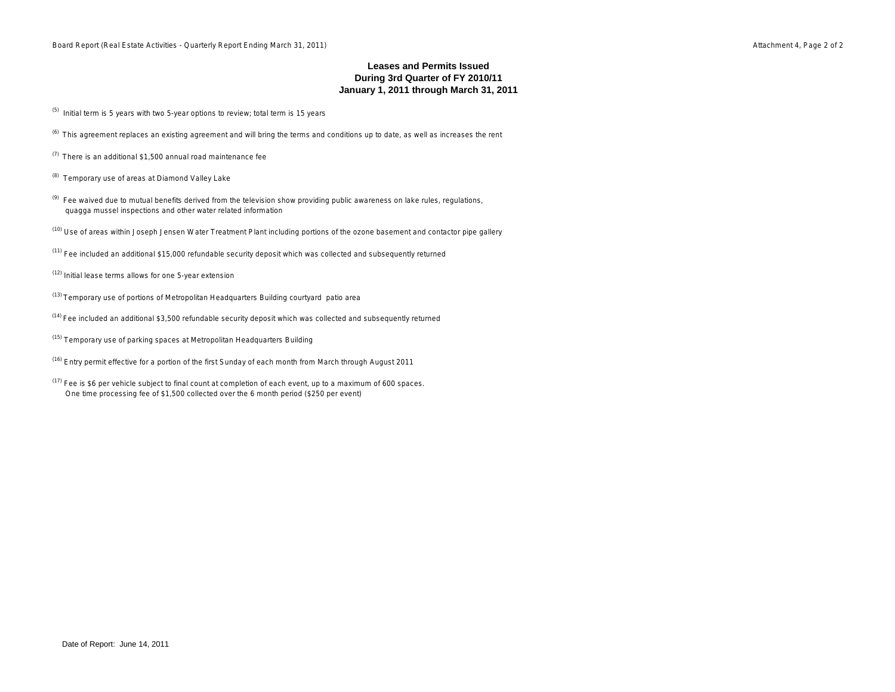#### **January 1, 2011 through March 31, 2011 Leases and Permits Issued During 3rd Quarter of FY 2010/11**

- $(5)$  Initial term is 5 years with two 5-year options to review; total term is 15 years
- $<sup>(6)</sup>$  This agreement replaces an existing agreement and will bring the terms and conditions up to date, as well as increases the rent</sup>
- (7) There is an additional \$1,500 annual road maintenance fee
- (8) Temporary use of areas at Diamond Valley Lake
- <sup>(9)</sup> Fee waived due to mutual benefits derived from the television show providing public awareness on lake rules, regulations, quagga mussel inspections and other water related information
- (10) Use of areas within Joseph Jensen Water Treatment Plant including portions of the ozone basement and contactor pipe gallery
- $<sup>(11)</sup>$  Fee included an additional \$15,000 refundable security deposit which was collected and subsequently returned</sup>
- (12) Initial lease terms allows for one 5-year extension
- (13) Temporary use of portions of Metropolitan Headquarters Building courtyard patio area
- (14) Fee included an additional \$3,500 refundable security deposit which was collected and subsequently returned
- <sup>(15)</sup> Temporary use of parking spaces at Metropolitan Headquarters Building
- (16) Entry permit effective for a portion of the first Sunday of each month from March through August 2011
- $(17)$  Fee is \$6 per vehicle subject to final count at completion of each event, up to a maximum of 600 spaces. One time processing fee of \$1,500 collected over the 6 month period (\$250 per event)